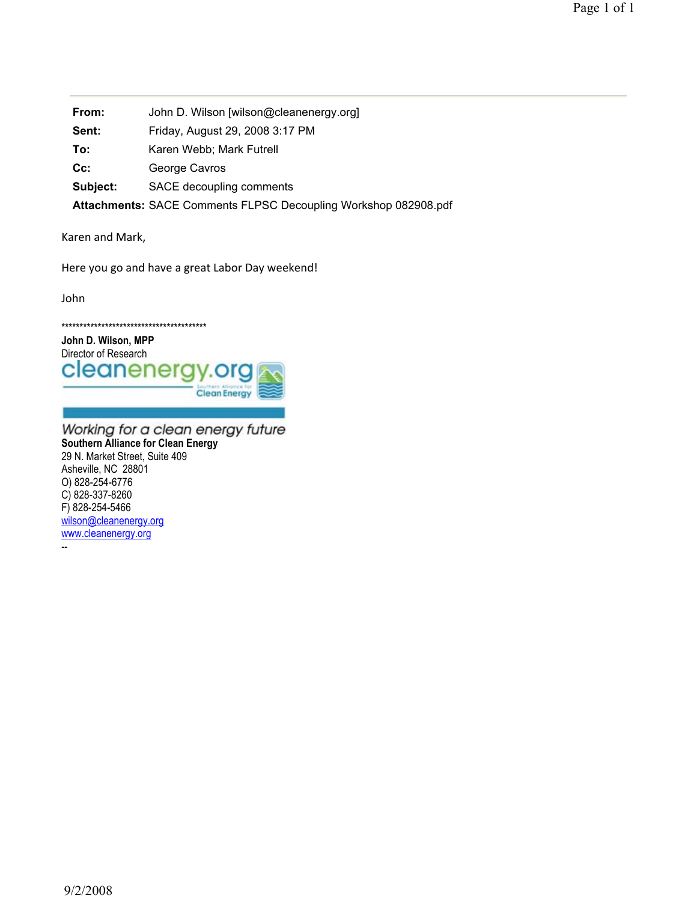**From:** John D. Wilson [wilson@cleanenergy.org] **Sent:** Friday, August 29, 2008 3:17 PM To: Karen Webb; Mark Futrell Cc: George Cavros **Subject:** SACE decoupling comments **Attachments:** SACE Comments FLPSC Decoupling Workshop 082908.pdf

Karen and Mark,

Here you go and have a great Labor Day weekend!

John

\*\*\*\*\*\*\*\*\*\*\*\*\*\*\*\*\*\*\*\*\*\*\*\*\*\*\*\*\*\*\*\*\*\*\*\*\*\*\*\*



Working for a clean energy future **Southern Alliance for Clean Energy**  29 N. Market Street, Suite 409 Asheville, NC 28801 O) 828-254-6776 C) 828-337-8260 F) 828-254-5466 wilson@cleanenergy.org www.cleanenergy.org

--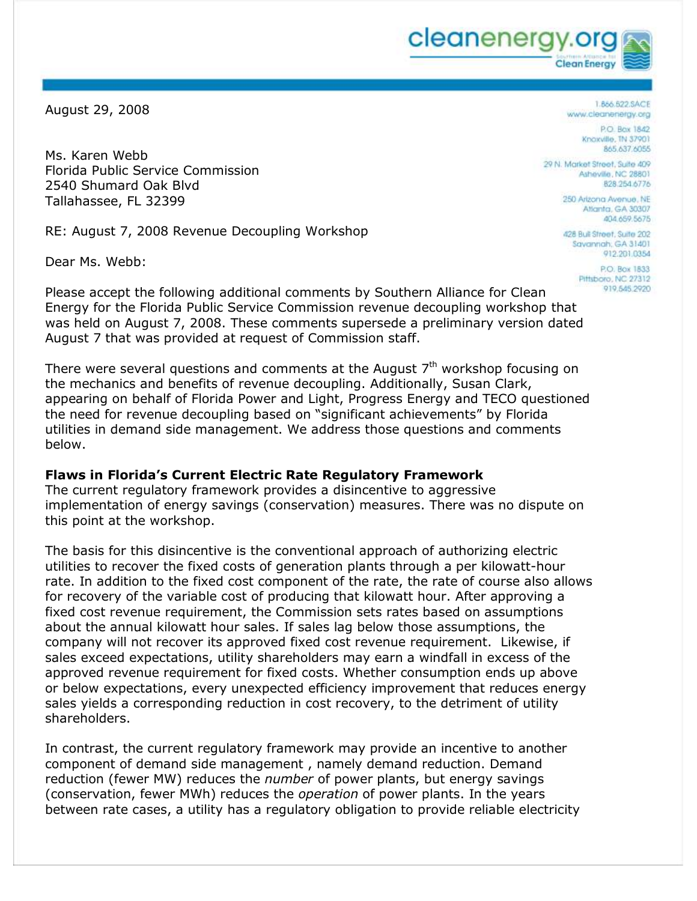cleanenergy.c **Clean Energy** 

August 29, 2008

Ms. Karen Webb Florida Public Service Commission 2540 Shumard Oak Blvd Tallahassee, FL 32399

RE: August 7, 2008 Revenue Decoupling Workshop

Dear Ms. Webb:

1.866.622.SACE www.cleanenergy.org

> P.O. Box 1842 Knoxville, TN 37901 **865 637 6055**

29 N. Market Street, Suite 409 Asheville, NC 28801 828.254.6776

> 250 Arizona Avenue, NE Atlanta, GA 30307 404,659,5675

> 428 Buil Street, Suite 202 Savannah, GA 31401 912.201.0354

> > **P.O. Rox 1833** Pittsboro, NC 27312 919.545.2920

Please accept the following additional comments by Southern Alliance for Clean Energy for the Florida Public Service Commission revenue decoupling workshop that was held on August 7, 2008. These comments supersede a preliminary version dated August 7 that was provided at request of Commission staff.

There were several questions and comments at the August  $7<sup>th</sup>$  workshop focusing on the mechanics and benefits of revenue decoupling. Additionally, Susan Clark, appearing on behalf of Florida Power and Light, Progress Energy and TECO questioned the need for revenue decoupling based on "significant achievements" by Florida utilities in demand side management. We address those questions and comments below.

### **Flaws in Florida's Current Electric Rate Regulatory Framework**

The current regulatory framework provides a disincentive to aggressive implementation of energy savings (conservation) measures. There was no dispute on this point at the workshop.

The basis for this disincentive is the conventional approach of authorizing electric utilities to recover the fixed costs of generation plants through a per kilowatt-hour rate. In addition to the fixed cost component of the rate, the rate of course also allows for recovery of the variable cost of producing that kilowatt hour. After approving a fixed cost revenue requirement, the Commission sets rates based on assumptions about the annual kilowatt hour sales. If sales lag below those assumptions, the company will not recover its approved fixed cost revenue requirement. Likewise, if sales exceed expectations, utility shareholders may earn a windfall in excess of the approved revenue requirement for fixed costs. Whether consumption ends up above or below expectations, every unexpected efficiency improvement that reduces energy sales yields a corresponding reduction in cost recovery, to the detriment of utility shareholders.

In contrast, the current regulatory framework may provide an incentive to another component of demand side management , namely demand reduction. Demand reduction (fewer MW) reduces the *number* of power plants, but energy savings (conservation, fewer MWh) reduces the *operation* of power plants. In the years between rate cases, a utility has a regulatory obligation to provide reliable electricity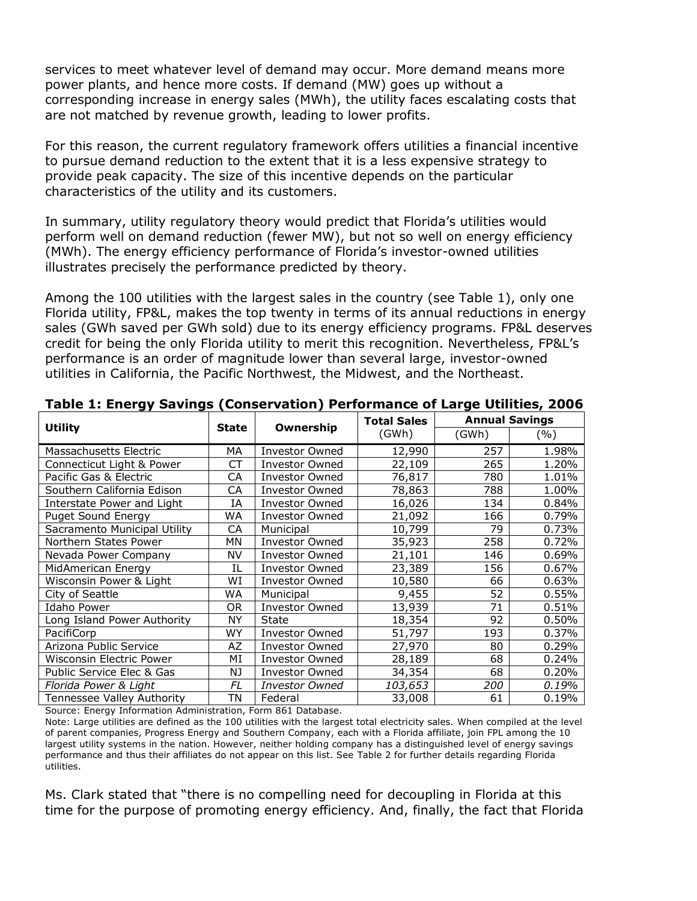services to meet whatever level of demand may occur. More demand means more power plants, and hence more costs. If demand (MW) goes up without a corresponding increase in energy sales (MWh), the utility faces escalating costs that are not matched by revenue growth, leading to lower profits.

For this reason, the current regulatory framework offers utilities a financial incentive to pursue demand reduction to the extent that it is a less expensive strategy to provide peak capacity. The size of this incentive depends on the particular characteristics of the utility and its customers.

In summary, utility regulatory theory would predict that Florida's utilities would perform well on demand reduction (fewer MW), but not so well on energy efficiency (MWh). The energy efficiency performance of Florida's investor-owned utilities illustrates precisely the performance predicted by theory.

Among the 100 utilities with the largest sales in the country (see Table 1), only one Florida utility, FP&L, makes the top twenty in terms of its annual reductions in energy sales (GWh saved per GWh sold) due to its energy efficiency programs. FP&L deserves credit for being the only Florida utility to merit this recognition. Nevertheless, FP&L's performance is an order of magnitude lower than several large, investor-owned utilities in California, the Pacific Northwest, the Midwest, and the Northeast.

| . <b>.</b> .                 |       |                       | <b>Total Sales</b> | <b>Annual Savings</b> |       |
|------------------------------|-------|-----------------------|--------------------|-----------------------|-------|
| <b>Utility</b>               | State | Ownership             | (GWh)              | (GWh)                 | (%)   |
| Massachusetts Electric       | МA    | <b>Investor Owned</b> | 12,990             | 257                   | 1.98% |
| Connecticut Light & Power    | СT    | <b>Investor Owned</b> | 22,109             | 265                   | 1.20% |
| Pacific Gas & Electric       | СA    | <b>Investor Owned</b> | 76,817             | 780                   | 1.01% |
| Southern California Edison   | CA    | <b>Investor Owned</b> | 78,863             | 788                   | 1.00% |
| Interstate Power and Light   | IΑ    | <b>Investor Owned</b> | 16,026             | 134                   | 0.84% |
| <b>Puget Sound Energy</b>    | WA    | <b>Investor Owned</b> | 21,092             | 166                   | 0.79% |
| Sacramento Municipal Utility | СA    | Municipal             | 10,799             | 79                    | 0.73% |
| Northern States Power        | ΜN    | <b>Investor Owned</b> | 35,923             | 258                   | 0.72% |
| Nevada Power Company         | NV    | <b>Investor Owned</b> | 21,101             | 146                   | 0.69% |
| MidAmerican Energy           | ΙL    | <b>Investor Owned</b> | 23,389             | 156                   | 0.67% |
| Wisconsin Power & Light      | WI    | <b>Investor Owned</b> | 10,580             | 66                    | 0.63% |
| City of Seattle              | WA    | Municipal             | 9,455              | 52                    | 0.55% |
| <b>Idaho Power</b>           | 0R    | <b>Investor Owned</b> | 13,939             | 71                    | 0.51% |
| Long Island Power Authority  | NY    | <b>State</b>          | 18,354             | 92                    | 0.50% |
| PacifiCorp                   | WY    | <b>Investor Owned</b> | 51,797             | 193                   | 0.37% |
| Arizona Public Service       | AZ    | <b>Investor Owned</b> | 27,970             | 80                    | 0.29% |
| Wisconsin Electric Power     | МI    | <b>Investor Owned</b> | 28,189             | 68                    | 0.24% |
| Public Service Elec & Gas    | NJ.   | <b>Investor Owned</b> | 34,354             | 68                    | 0.20% |
| Florida Power & Light        | FL    | <b>Investor Owned</b> | 103,653            | 200                   | 0.19% |
| Tennessee Valley Authority   | ΤN    | Federal               | 33,008             | 61                    | 0.19% |

#### **Table 1: Energy Savings (Conservation) Performance of Large Utilities, 2006**

Source: Energy Information Administration, Form 861 Database.

Note: Large utilities are defined as the 100 utilities with the largest total electricity sales. When compiled at the level of parent companies, Progress Energy and Southern Company, each with a Florida affiliate, join FPL among the 10 largest utility systems in the nation. However, neither holding company has a distinguished level of energy savings performance and thus their affiliates do not appear on this list. See Table 2 for further details regarding Florida utilities.

Ms. Clark stated that "there is no compelling need for decoupling in Florida at this time for the purpose of promoting energy efficiency. And, finally, the fact that Florida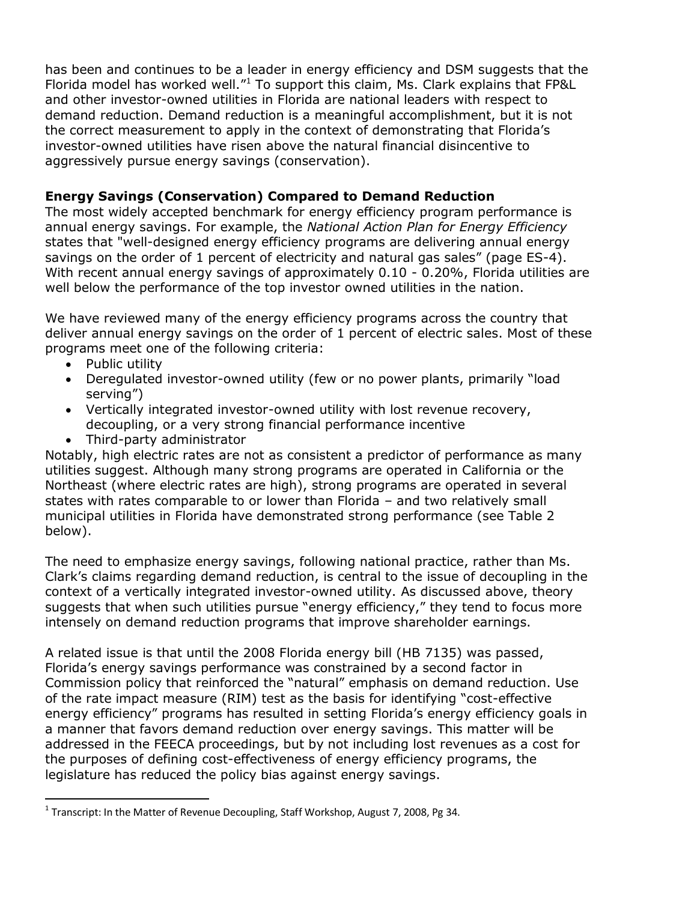has been and continues to be a leader in energy efficiency and DSM suggests that the Florida model has worked well." $1$  To support this claim, Ms. Clark explains that FP&L and other investor-owned utilities in Florida are national leaders with respect to demand reduction. Demand reduction is a meaningful accomplishment, but it is not the correct measurement to apply in the context of demonstrating that Florida's investor-owned utilities have risen above the natural financial disincentive to aggressively pursue energy savings (conservation).

# **Energy Savings (Conservation) Compared to Demand Reduction**

The most widely accepted benchmark for energy efficiency program performance is annual energy savings. For example, the *National Action Plan for Energy Efficiency* states that "well-designed energy efficiency programs are delivering annual energy savings on the order of 1 percent of electricity and natural gas sales" (page ES-4). With recent annual energy savings of approximately 0.10 - 0.20%, Florida utilities are well below the performance of the top investor owned utilities in the nation.

We have reviewed many of the energy efficiency programs across the country that deliver annual energy savings on the order of 1 percent of electric sales. Most of these programs meet one of the following criteria:

• Public utility

 $\overline{a}$ 

- Deregulated investor-owned utility (few or no power plants, primarily "load serving")
- Vertically integrated investor-owned utility with lost revenue recovery, decoupling, or a very strong financial performance incentive
- Third-party administrator

Notably, high electric rates are not as consistent a predictor of performance as many utilities suggest. Although many strong programs are operated in California or the Northeast (where electric rates are high), strong programs are operated in several states with rates comparable to or lower than Florida – and two relatively small municipal utilities in Florida have demonstrated strong performance (see Table 2 below).

The need to emphasize energy savings, following national practice, rather than Ms. Clark's claims regarding demand reduction, is central to the issue of decoupling in the context of a vertically integrated investor-owned utility. As discussed above, theory suggests that when such utilities pursue "energy efficiency," they tend to focus more intensely on demand reduction programs that improve shareholder earnings.

A related issue is that until the 2008 Florida energy bill (HB 7135) was passed, Florida's energy savings performance was constrained by a second factor in Commission policy that reinforced the "natural" emphasis on demand reduction. Use of the rate impact measure (RIM) test as the basis for identifying "cost-effective energy efficiency" programs has resulted in setting Florida's energy efficiency goals in a manner that favors demand reduction over energy savings. This matter will be addressed in the FEECA proceedings, but by not including lost revenues as a cost for the purposes of defining cost-effectiveness of energy efficiency programs, the legislature has reduced the policy bias against energy savings.

<sup>&</sup>lt;sup>1</sup> Transcript: In the Matter of Revenue Decoupling, Staff Workshop, August 7, 2008, Pg 34.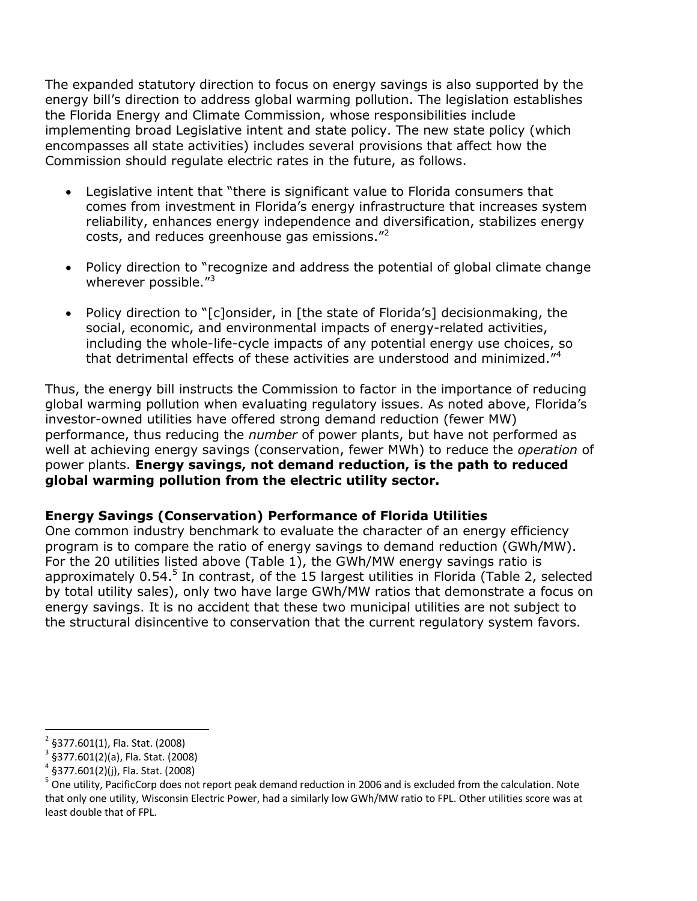The expanded statutory direction to focus on energy savings is also supported by the energy bill's direction to address global warming pollution. The legislation establishes the Florida Energy and Climate Commission, whose responsibilities include implementing broad Legislative intent and state policy. The new state policy (which encompasses all state activities) includes several provisions that affect how the Commission should regulate electric rates in the future, as follows.

- Legislative intent that "there is significant value to Florida consumers that comes from investment in Florida's energy infrastructure that increases system reliability, enhances energy independence and diversification, stabilizes energy costs, and reduces greenhouse gas emissions."<sup>2</sup>
- Policy direction to "recognize and address the potential of global climate change wherever possible."<sup>3</sup>
- Policy direction to "[c]onsider, in [the state of Florida's] decisionmaking, the social, economic, and environmental impacts of energy-related activities, including the whole-life-cycle impacts of any potential energy use choices, so that detrimental effects of these activities are understood and minimized."<sup>4</sup>

Thus, the energy bill instructs the Commission to factor in the importance of reducing global warming pollution when evaluating regulatory issues. As noted above, Florida's investor-owned utilities have offered strong demand reduction (fewer MW) performance, thus reducing the *number* of power plants, but have not performed as well at achieving energy savings (conservation, fewer MWh) to reduce the *operation* of power plants. **Energy savings, not demand reduction, is the path to reduced global warming pollution from the electric utility sector.**

### **Energy Savings (Conservation) Performance of Florida Utilities**

One common industry benchmark to evaluate the character of an energy efficiency program is to compare the ratio of energy savings to demand reduction (GWh/MW). For the 20 utilities listed above (Table 1), the GWh/MW energy savings ratio is approximately 0.54.<sup>5</sup> In contrast, of the 15 largest utilities in Florida (Table 2, selected by total utility sales), only two have large GWh/MW ratios that demonstrate a focus on energy savings. It is no accident that these two municipal utilities are not subject to the structural disincentive to conservation that the current regulatory system favors.

 $\overline{a}$ 2 §377.601(1), Fla. Stat. (2008)

<sup>3</sup> §377.601(2)(a), Fla. Stat. (2008)

<sup>4</sup> §377.601(2)(j), Fla. Stat. (2008)

<sup>&</sup>lt;sup>5</sup> One utility, PacificCorp does not report peak demand reduction in 2006 and is excluded from the calculation. Note that only one utility, Wisconsin Electric Power, had a similarly low GWh/MW ratio to FPL. Other utilities score was at least double that of FPL.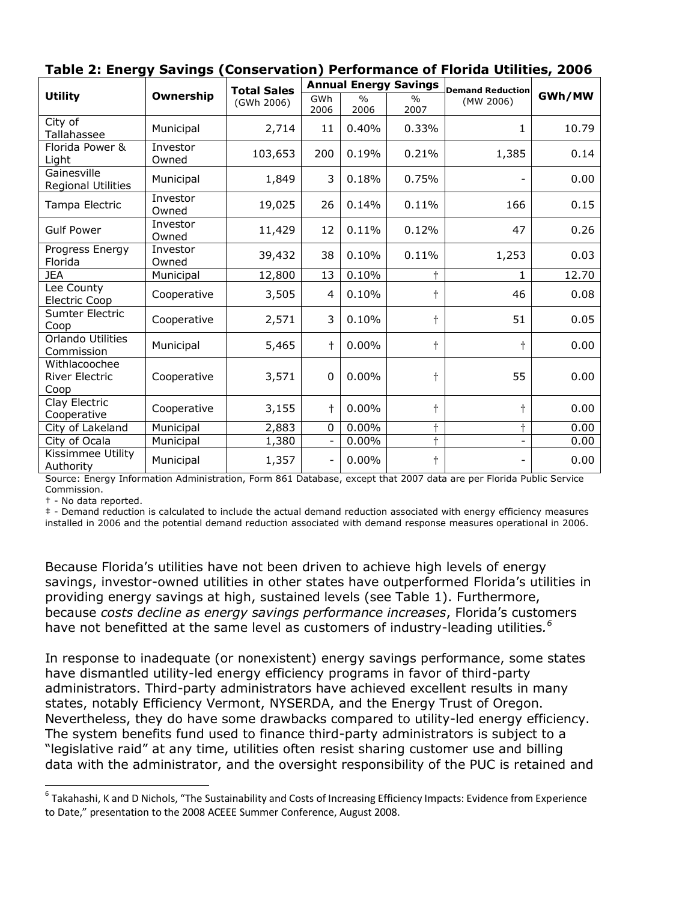|                                                |                   | <b>Total Sales</b> |             |                       | <b>Annual Energy Savings</b> | <b>Demand Reduction</b>  |        |
|------------------------------------------------|-------------------|--------------------|-------------|-----------------------|------------------------------|--------------------------|--------|
| <b>Utility</b>                                 | Ownership         | (GWh 2006)         | GWh<br>2006 | $\frac{0}{0}$<br>2006 | $\frac{0}{0}$<br>2007        | (MW 2006)                | GWh/MW |
| City of<br>Tallahassee                         | Municipal         | 2,714              | 11          | 0.40%                 | 0.33%                        | $\mathbf{1}$             | 10.79  |
| Florida Power &<br>Light                       | Investor<br>Owned | 103,653            | 200         | 0.19%                 | 0.21%                        | 1,385                    | 0.14   |
| Gainesville<br><b>Regional Utilities</b>       | Municipal         | 1,849              | 3           | 0.18%                 | 0.75%                        | $\overline{\phantom{a}}$ | 0.00   |
| Tampa Electric                                 | Investor<br>Owned | 19,025             | 26          | 0.14%                 | 0.11%                        | 166                      | 0.15   |
| <b>Gulf Power</b>                              | Investor<br>Owned | 11,429             | 12          | 0.11%                 | 0.12%                        | 47                       | 0.26   |
| Progress Energy<br>Florida                     | Investor<br>Owned | 39,432             | 38          | 0.10%                 | 0.11%                        | 1,253                    | 0.03   |
| <b>JEA</b>                                     | Municipal         | 12,800             | 13          | 0.10%                 |                              | $\mathbf{1}$             | 12.70  |
| Lee County<br>Electric Coop                    | Cooperative       | 3,505              | 4           | 0.10%                 |                              | 46                       | 0.08   |
| Sumter Electric<br>Coop                        | Cooperative       | 2,571              | 3           | 0.10%                 | t                            | 51                       | 0.05   |
| Orlando Utilities<br>Commission                | Municipal         | 5,465              | t           | 0.00%                 | t                            | t                        | 0.00   |
| Withlacoochee<br><b>River Electric</b><br>Coop | Cooperative       | 3,571              | $\mathbf 0$ | 0.00%                 | t                            | 55                       | 0.00   |
| Clay Electric<br>Cooperative                   | Cooperative       | 3,155              | t           | 0.00%                 | t                            | $\dagger$                | 0.00   |
| City of Lakeland                               | Municipal         | 2,883              | 0           | $0.00\%$              |                              | t                        | 0.00   |
| City of Ocala                                  | Municipal         | 1,380              |             | $0.00\%$              | $\ddot{}$                    |                          | 0.00   |
| Kissimmee Utility<br>Authority                 | Municipal         | 1,357              |             | 0.00%                 | ϯ                            | $\overline{\phantom{a}}$ | 0.00   |

|  | Table 2: Energy Savings (Conservation) Performance of Florida Utilities, 2006 |  |
|--|-------------------------------------------------------------------------------|--|
|--|-------------------------------------------------------------------------------|--|

Source: Energy Information Administration, Form 861 Database, except that 2007 data are per Florida Public Service Commission.

† - No data reported.

 $\overline{a}$ 

‡ - Demand reduction is calculated to include the actual demand reduction associated with energy efficiency measures installed in 2006 and the potential demand reduction associated with demand response measures operational in 2006.

Because Florida's utilities have not been driven to achieve high levels of energy savings, investor-owned utilities in other states have outperformed Florida's utilities in providing energy savings at high, sustained levels (see Table 1). Furthermore, because *costs decline as energy savings performance increases*, Florida's customers have not benefitted at the same level as customers of industry-leading utilities*. 6*

In response to inadequate (or nonexistent) energy savings performance, some states have dismantled utility-led energy efficiency programs in favor of third-party administrators. Third-party administrators have achieved excellent results in many states, notably Efficiency Vermont, NYSERDA, and the Energy Trust of Oregon. Nevertheless, they do have some drawbacks compared to utility-led energy efficiency. The system benefits fund used to finance third-party administrators is subject to a "legislative raid" at any time, utilities often resist sharing customer use and billing data with the administrator, and the oversight responsibility of the PUC is retained and

<sup>&</sup>lt;sup>6</sup> Takahashi, K and D Nichols, "The Sustainability and Costs of Increasing Efficiency Impacts: Evidence from Experience to Date," presentation to the 2008 ACEEE Summer Conference, August 2008.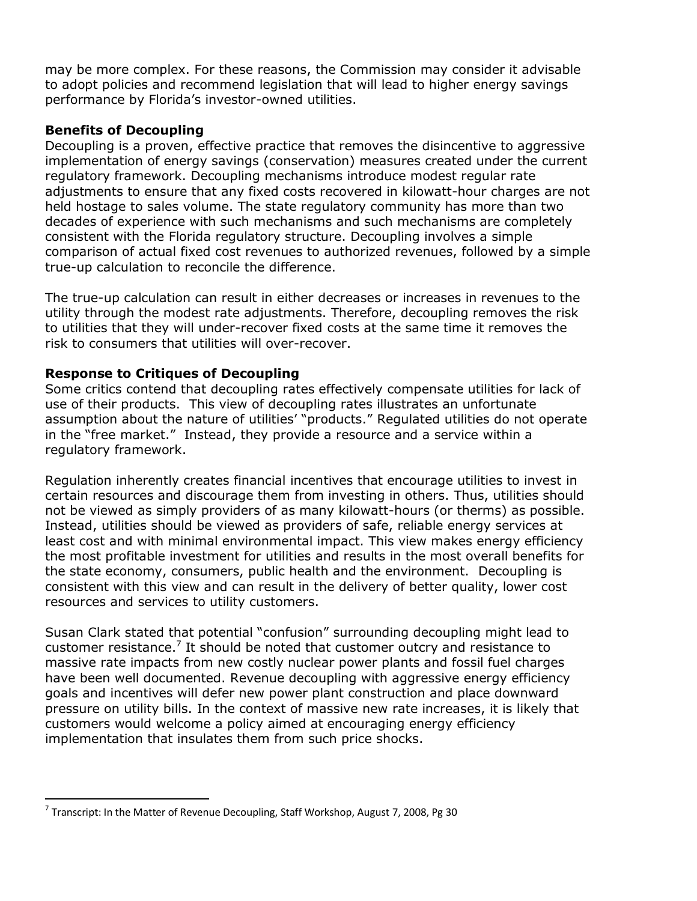may be more complex. For these reasons, the Commission may consider it advisable to adopt policies and recommend legislation that will lead to higher energy savings performance by Florida's investor-owned utilities.

## **Benefits of Decoupling**

Decoupling is a proven, effective practice that removes the disincentive to aggressive implementation of energy savings (conservation) measures created under the current regulatory framework. Decoupling mechanisms introduce modest regular rate adjustments to ensure that any fixed costs recovered in kilowatt-hour charges are not held hostage to sales volume. The state regulatory community has more than two decades of experience with such mechanisms and such mechanisms are completely consistent with the Florida regulatory structure. Decoupling involves a simple comparison of actual fixed cost revenues to authorized revenues, followed by a simple true-up calculation to reconcile the difference.

The true-up calculation can result in either decreases or increases in revenues to the utility through the modest rate adjustments. Therefore, decoupling removes the risk to utilities that they will under-recover fixed costs at the same time it removes the risk to consumers that utilities will over-recover.

## **Response to Critiques of Decoupling**

Some critics contend that decoupling rates effectively compensate utilities for lack of use of their products. This view of decoupling rates illustrates an unfortunate assumption about the nature of utilities' "products." Regulated utilities do not operate in the "free market." Instead, they provide a resource and a service within a regulatory framework.

Regulation inherently creates financial incentives that encourage utilities to invest in certain resources and discourage them from investing in others. Thus, utilities should not be viewed as simply providers of as many kilowatt-hours (or therms) as possible. Instead, utilities should be viewed as providers of safe, reliable energy services at least cost and with minimal environmental impact. This view makes energy efficiency the most profitable investment for utilities and results in the most overall benefits for the state economy, consumers, public health and the environment. Decoupling is consistent with this view and can result in the delivery of better quality, lower cost resources and services to utility customers.

Susan Clark stated that potential "confusion" surrounding decoupling might lead to customer resistance.<sup>7</sup> It should be noted that customer outcry and resistance to massive rate impacts from new costly nuclear power plants and fossil fuel charges have been well documented. Revenue decoupling with aggressive energy efficiency goals and incentives will defer new power plant construction and place downward pressure on utility bills. In the context of massive new rate increases, it is likely that customers would welcome a policy aimed at encouraging energy efficiency implementation that insulates them from such price shocks.

 $\overline{a}$ 

 $^7$  Transcript: In the Matter of Revenue Decoupling, Staff Workshop, August 7, 2008, Pg 30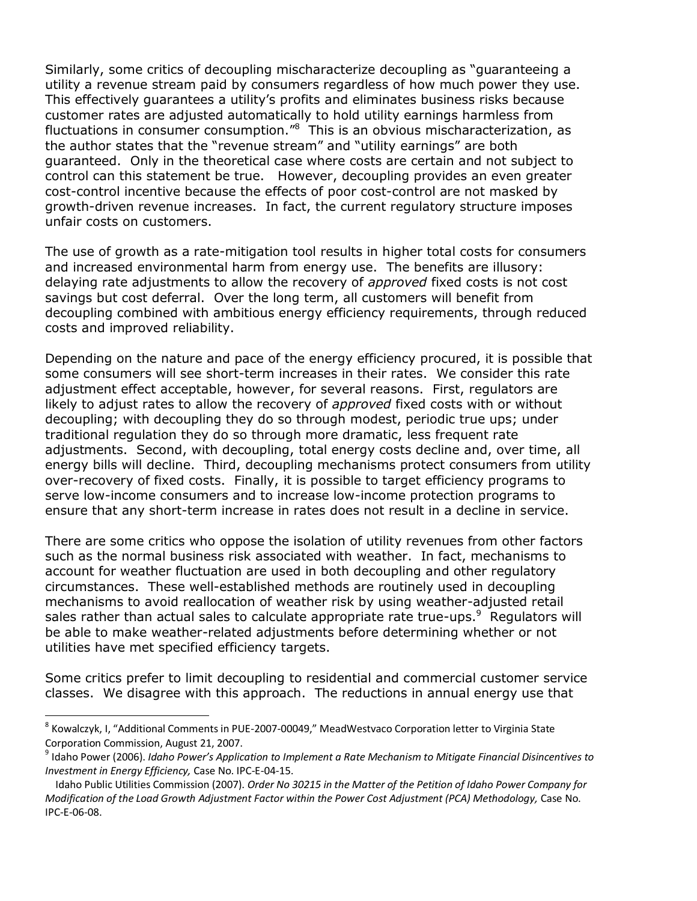Similarly, some critics of decoupling mischaracterize decoupling as "guaranteeing a utility a revenue stream paid by consumers regardless of how much power they use. This effectively guarantees a utility's profits and eliminates business risks because customer rates are adjusted automatically to hold utility earnings harmless from fluctuations in consumer consumption."<sup>8</sup> This is an obvious mischaracterization, as the author states that the "revenue stream" and "utility earnings" are both guaranteed. Only in the theoretical case where costs are certain and not subject to control can this statement be true. However, decoupling provides an even greater cost-control incentive because the effects of poor cost-control are not masked by growth-driven revenue increases. In fact, the current regulatory structure imposes unfair costs on customers.

The use of growth as a rate-mitigation tool results in higher total costs for consumers and increased environmental harm from energy use. The benefits are illusory: delaying rate adjustments to allow the recovery of *approved* fixed costs is not cost savings but cost deferral. Over the long term, all customers will benefit from decoupling combined with ambitious energy efficiency requirements, through reduced costs and improved reliability.

Depending on the nature and pace of the energy efficiency procured, it is possible that some consumers will see short-term increases in their rates. We consider this rate adjustment effect acceptable, however, for several reasons. First, regulators are likely to adjust rates to allow the recovery of *approved* fixed costs with or without decoupling; with decoupling they do so through modest, periodic true ups; under traditional regulation they do so through more dramatic, less frequent rate adjustments. Second, with decoupling, total energy costs decline and, over time, all energy bills will decline. Third, decoupling mechanisms protect consumers from utility over-recovery of fixed costs. Finally, it is possible to target efficiency programs to serve low-income consumers and to increase low-income protection programs to ensure that any short-term increase in rates does not result in a decline in service.

There are some critics who oppose the isolation of utility revenues from other factors such as the normal business risk associated with weather. In fact, mechanisms to account for weather fluctuation are used in both decoupling and other regulatory circumstances. These well-established methods are routinely used in decoupling mechanisms to avoid reallocation of weather risk by using weather-adjusted retail sales rather than actual sales to calculate appropriate rate true-ups. Regulators will be able to make weather-related adjustments before determining whether or not utilities have met specified efficiency targets.

Some critics prefer to limit decoupling to residential and commercial customer service classes. We disagree with this approach. The reductions in annual energy use that

 $\overline{a}$ 

<sup>&</sup>lt;sup>8</sup> Kowalczyk, I, "Additional Comments in PUE-2007-00049," MeadWestvaco Corporation letter to Virginia State Corporation Commission, August 21, 2007.

<sup>9</sup> Idaho Power (2006). *Idaho Power's Application to Implement a Rate Mechanism to Mitigate Financial Disincentives to Investment in Energy Efficiency,* Case No. IPC-E-04-15.

Idaho Public Utilities Commission (2007). *Order No 30215 in the Matter of the Petition of Idaho Power Company for Modification of the Load Growth Adjustment Factor within the Power Cost Adjustment (PCA) Methodology,* Case No. IPC-E-06-08.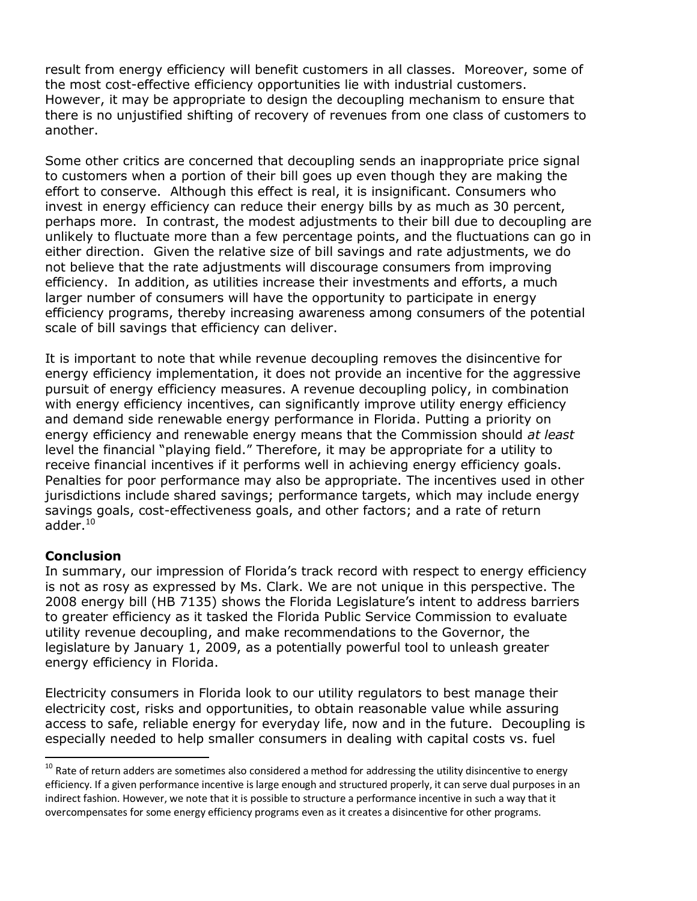result from energy efficiency will benefit customers in all classes. Moreover, some of the most cost-effective efficiency opportunities lie with industrial customers. However, it may be appropriate to design the decoupling mechanism to ensure that there is no unjustified shifting of recovery of revenues from one class of customers to another.

Some other critics are concerned that decoupling sends an inappropriate price signal to customers when a portion of their bill goes up even though they are making the effort to conserve. Although this effect is real, it is insignificant. Consumers who invest in energy efficiency can reduce their energy bills by as much as 30 percent, perhaps more. In contrast, the modest adjustments to their bill due to decoupling are unlikely to fluctuate more than a few percentage points, and the fluctuations can go in either direction. Given the relative size of bill savings and rate adjustments, we do not believe that the rate adjustments will discourage consumers from improving efficiency. In addition, as utilities increase their investments and efforts, a much larger number of consumers will have the opportunity to participate in energy efficiency programs, thereby increasing awareness among consumers of the potential scale of bill savings that efficiency can deliver.

It is important to note that while revenue decoupling removes the disincentive for energy efficiency implementation, it does not provide an incentive for the aggressive pursuit of energy efficiency measures. A revenue decoupling policy, in combination with energy efficiency incentives, can significantly improve utility energy efficiency and demand side renewable energy performance in Florida. Putting a priority on energy efficiency and renewable energy means that the Commission should *at least* level the financial "playing field." Therefore, it may be appropriate for a utility to receive financial incentives if it performs well in achieving energy efficiency goals. Penalties for poor performance may also be appropriate. The incentives used in other jurisdictions include shared savings; performance targets, which may include energy savings goals, cost-effectiveness goals, and other factors; and a rate of return adder. $^{10}$ 

### **Conclusion**

 $\overline{a}$ 

In summary, our impression of Florida's track record with respect to energy efficiency is not as rosy as expressed by Ms. Clark. We are not unique in this perspective. The 2008 energy bill (HB 7135) shows the Florida Legislature's intent to address barriers to greater efficiency as it tasked the Florida Public Service Commission to evaluate utility revenue decoupling, and make recommendations to the Governor, the legislature by January 1, 2009, as a potentially powerful tool to unleash greater energy efficiency in Florida.

Electricity consumers in Florida look to our utility regulators to best manage their electricity cost, risks and opportunities, to obtain reasonable value while assuring access to safe, reliable energy for everyday life, now and in the future. Decoupling is especially needed to help smaller consumers in dealing with capital costs vs. fuel

 $10$  Rate of return adders are sometimes also considered a method for addressing the utility disincentive to energy efficiency. If a given performance incentive is large enough and structured properly, it can serve dual purposes in an indirect fashion. However, we note that it is possible to structure a performance incentive in such a way that it overcompensates for some energy efficiency programs even as it creates a disincentive for other programs.